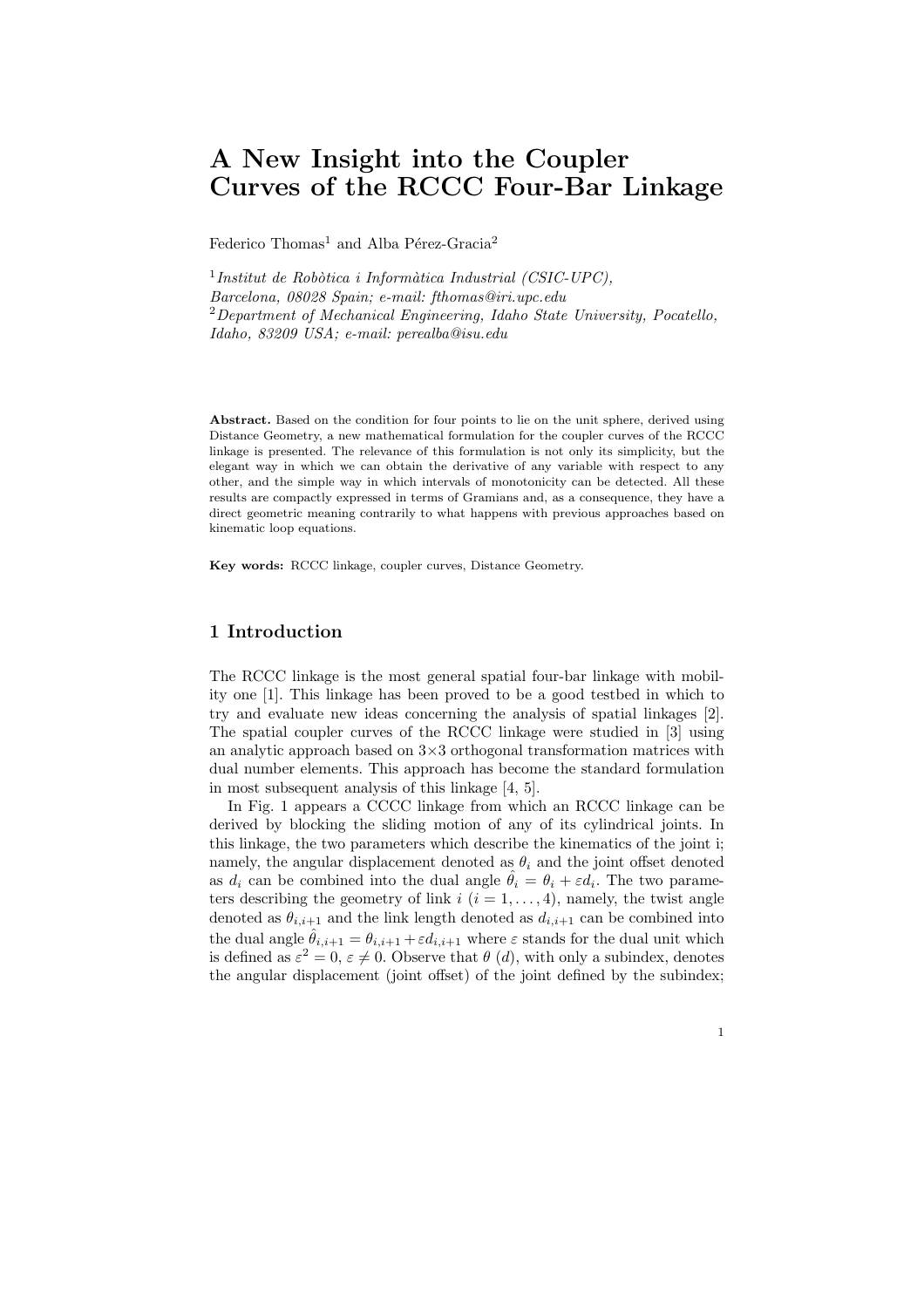# A New Insight into the Coupler Curves of the RCCC Four-Bar Linkage

Federico Thomas<sup>1</sup> and Alba Pérez-Gracia<sup>2</sup>

<sup>1</sup>Institut de Robòtica i Informàtica Industrial (CSIC-UPC), *Barcelona, 08028 Spain; e-mail: fthomas@iri.upc.edu* <sup>2</sup>*Department of Mechanical Engineering, Idaho State University, Pocatello, Idaho, 83209 USA; e-mail: perealba@isu.edu*

Abstract. Based on the condition for four points to lie on the unit sphere, derived using Distance Geometry, a new mathematical formulation for the coupler curves of the RCCC linkage is presented. The relevance of this formulation is not only its simplicity, but the elegant way in which we can obtain the derivative of any variable with respect to any other, and the simple way in which intervals of monotonicity can be detected. All these results are compactly expressed in terms of Gramians and, as a consequence, they have a direct geometric meaning contrarily to what happens with previous approaches based on kinematic loop equations.

Key words: RCCC linkage, coupler curves, Distance Geometry.

# 1 Introduction

The RCCC linkage is the most general spatial four-bar linkage with mobility one [1]. This linkage has been proved to be a good testbed in which to try and evaluate new ideas concerning the analysis of spatial linkages [2]. The spatial coupler curves of the RCCC linkage were studied in [3] using an analytic approach based on  $3\times3$  orthogonal transformation matrices with dual number elements. This approach has become the standard formulation in most subsequent analysis of this linkage [4, 5].

In Fig. 1 appears a CCCC linkage from which an RCCC linkage can be derived by blocking the sliding motion of any of its cylindrical joints. In this linkage, the two parameters which describe the kinematics of the joint i; namely, the angular displacement denoted as  $\theta_i$  and the joint offset denoted as  $d_i$  can be combined into the dual angle  $\hat{\theta}_i = \theta_i + \varepsilon d_i$ . The two parameters describing the geometry of link  $i$   $(i = 1, \ldots, 4)$ , namely, the twist angle denoted as  $\theta_{i,i+1}$  and the link length denoted as  $d_{i,i+1}$  can be combined into the dual angle  $\hat{\theta}_{i,i+1} = \theta_{i,i+1} + \varepsilon d_{i,i+1}$  where  $\varepsilon$  stands for the dual unit which is defined as  $\varepsilon^2 = 0$ ,  $\varepsilon \neq 0$ . Observe that  $\theta$  (d), with only a subindex, denotes the angular displacement (joint offset) of the joint defined by the subindex;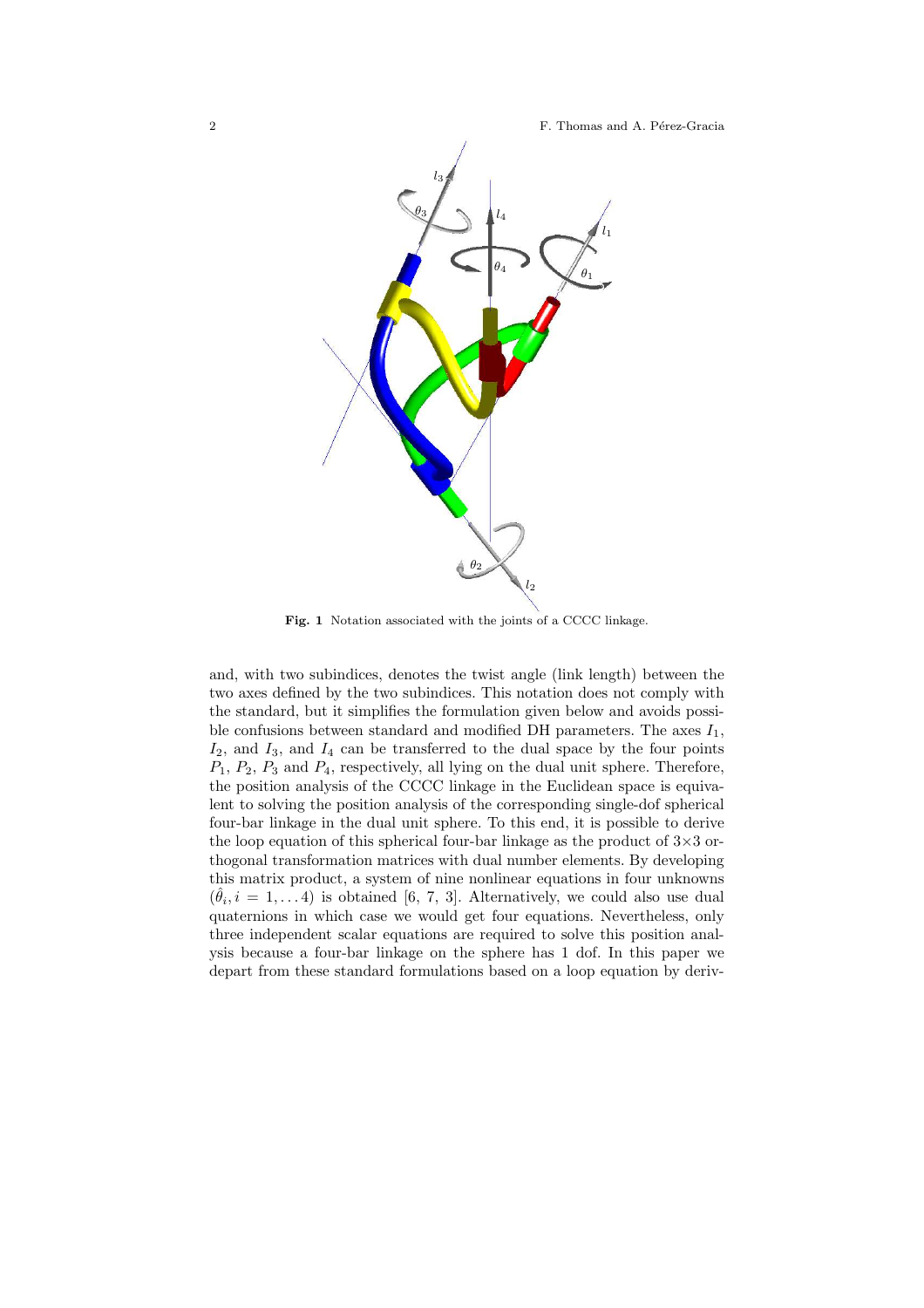#### 2 F. Thomas and A. Pérez-Gracia



Fig. 1 Notation associated with the joints of a CCCC linkage.

and, with two subindices, denotes the twist angle (link length) between the two axes defined by the two subindices. This notation does not comply with the standard, but it simplifies the formulation given below and avoids possible confusions between standard and modified DH parameters. The axes  $I_1$ ,  $I_2$ , and  $I_3$ , and  $I_4$  can be transferred to the dual space by the four points  $P_1, P_2, P_3$  and  $P_4$ , respectively, all lying on the dual unit sphere. Therefore, the position analysis of the CCCC linkage in the Euclidean space is equivalent to solving the position analysis of the corresponding single-dof spherical four-bar linkage in the dual unit sphere. To this end, it is possible to derive the loop equation of this spherical four-bar linkage as the product of  $3\times3$  orthogonal transformation matrices with dual number elements. By developing this matrix product, a system of nine nonlinear equations in four unknowns  $(\hat{\theta}_i, i = 1, \ldots 4)$  is obtained [6, 7, 3]. Alternatively, we could also use dual quaternions in which case we would get four equations. Nevertheless, only three independent scalar equations are required to solve this position analysis because a four-bar linkage on the sphere has 1 dof. In this paper we depart from these standard formulations based on a loop equation by deriv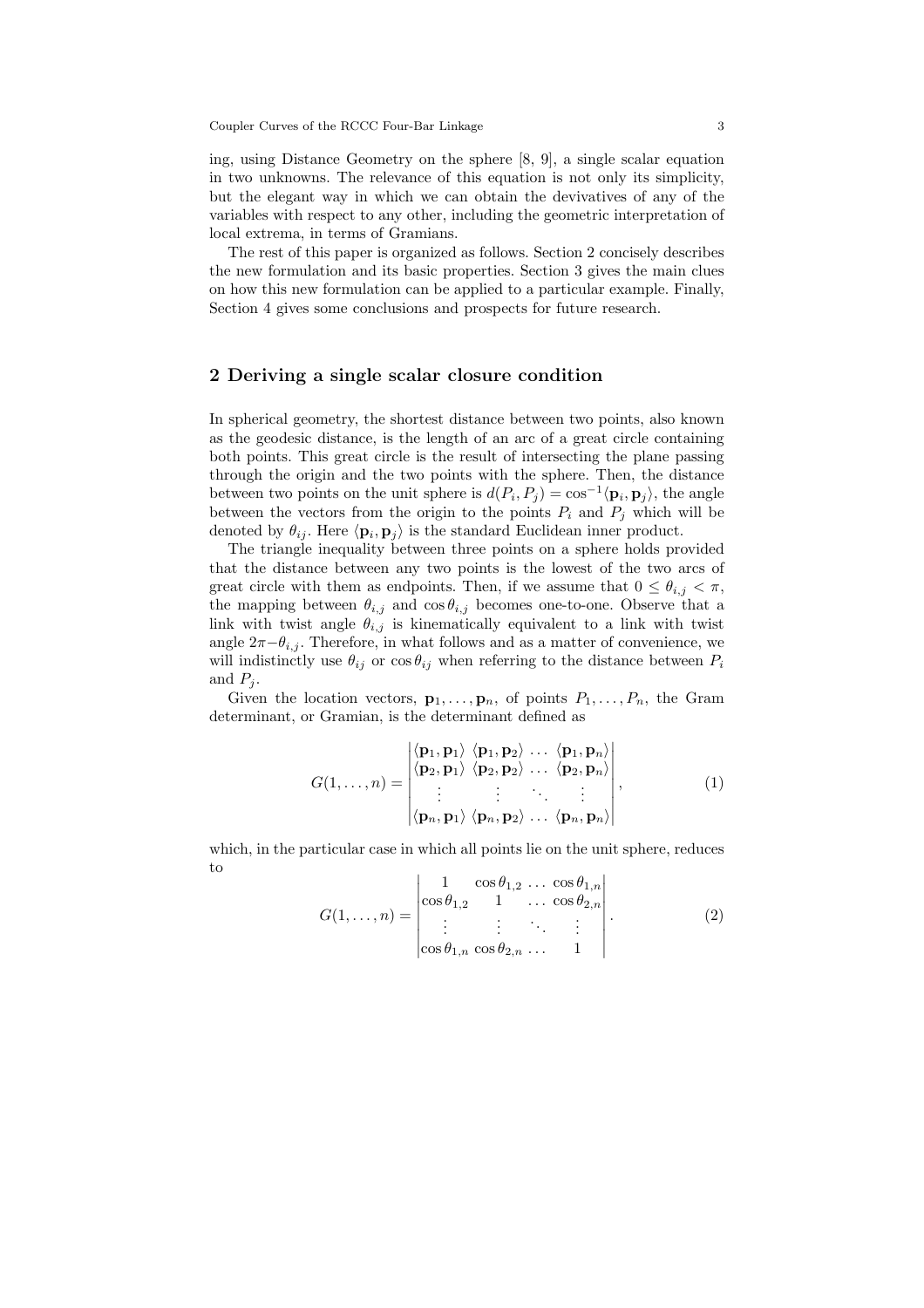ing, using Distance Geometry on the sphere [8, 9], a single scalar equation in two unknowns. The relevance of this equation is not only its simplicity, but the elegant way in which we can obtain the devivatives of any of the variables with respect to any other, including the geometric interpretation of local extrema, in terms of Gramians.

The rest of this paper is organized as follows. Section 2 concisely describes the new formulation and its basic properties. Section 3 gives the main clues on how this new formulation can be applied to a particular example. Finally, Section 4 gives some conclusions and prospects for future research.

#### 2 Deriving a single scalar closure condition

In spherical geometry, the shortest distance between two points, also known as the geodesic distance, is the length of an arc of a great circle containing both points. This great circle is the result of intersecting the plane passing through the origin and the two points with the sphere. Then, the distance between two points on the unit sphere is  $d(P_i, P_j) = \cos^{-1} \langle \mathbf{p}_i, \mathbf{p}_j \rangle$ , the angle between the vectors from the origin to the points  $P_i$  and  $P_j$  which will be denoted by  $\theta_{ij}$ . Here  $\langle \mathbf{p}_i, \mathbf{p}_j \rangle$  is the standard Euclidean inner product.

The triangle inequality between three points on a sphere holds provided that the distance between any two points is the lowest of the two arcs of great circle with them as endpoints. Then, if we assume that  $0 \leq \theta_{i,j} < \pi$ , the mapping between  $\theta_{i,j}$  and  $\cos \theta_{i,j}$  becomes one-to-one. Observe that a link with twist angle  $\theta_{i,j}$  is kinematically equivalent to a link with twist angle  $2\pi - \theta_{i,j}$ . Therefore, in what follows and as a matter of convenience, we will indistinctly use  $\theta_{ij}$  or  $\cos \theta_{ij}$  when referring to the distance between  $P_i$ and  $P_i$ .

Given the location vectors,  $\mathbf{p}_1, \ldots, \mathbf{p}_n$ , of points  $P_1, \ldots, P_n$ , the Gram determinant, or Gramian, is the determinant defined as

$$
G(1,\ldots,n) = \begin{vmatrix} \langle \mathbf{p}_1, \mathbf{p}_1 \rangle & \langle \mathbf{p}_1, \mathbf{p}_2 \rangle & \ldots & \langle \mathbf{p}_1, \mathbf{p}_n \rangle \\ \langle \mathbf{p}_2, \mathbf{p}_1 \rangle & \langle \mathbf{p}_2, \mathbf{p}_2 \rangle & \ldots & \langle \mathbf{p}_2, \mathbf{p}_n \rangle \\ \vdots & \vdots & \ddots & \vdots \\ \langle \mathbf{p}_n, \mathbf{p}_1 \rangle & \langle \mathbf{p}_n, \mathbf{p}_2 \rangle & \ldots & \langle \mathbf{p}_n, \mathbf{p}_n \rangle \end{vmatrix},
$$
(1)

which, in the particular case in which all points lie on the unit sphere, reduces to

$$
G(1,\ldots,n) = \begin{vmatrix} 1 & \cos \theta_{1,2} & \ldots & \cos \theta_{1,n} \\ \cos \theta_{1,2} & 1 & \ldots & \cos \theta_{2,n} \\ \vdots & \vdots & \ddots & \vdots \\ \cos \theta_{1,n} & \cos \theta_{2,n} & \ldots & 1 \end{vmatrix}.
$$
 (2)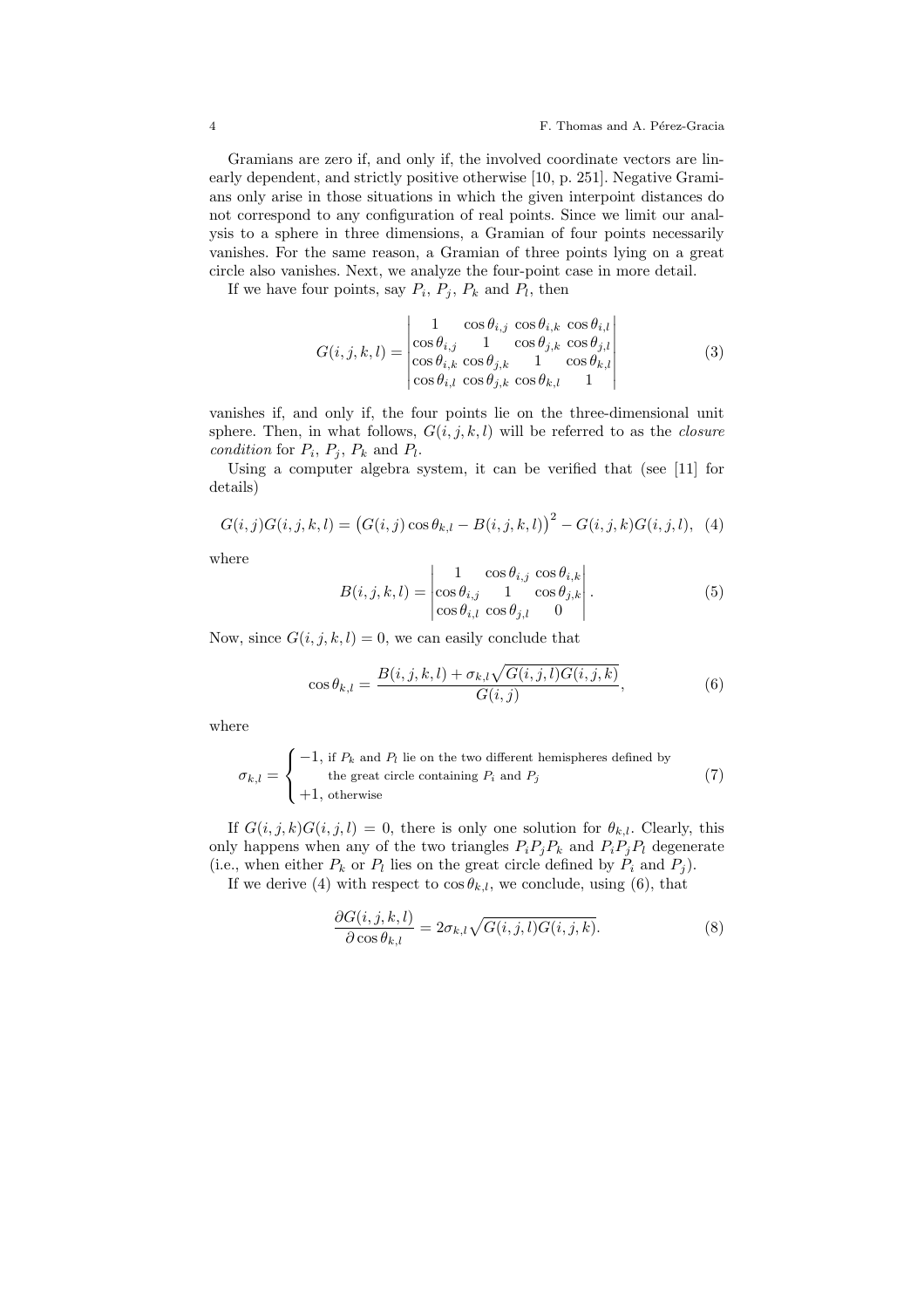Gramians are zero if, and only if, the involved coordinate vectors are linearly dependent, and strictly positive otherwise [10, p. 251]. Negative Gramians only arise in those situations in which the given interpoint distances do not correspond to any configuration of real points. Since we limit our analysis to a sphere in three dimensions, a Gramian of four points necessarily vanishes. For the same reason, a Gramian of three points lying on a great circle also vanishes. Next, we analyze the four-point case in more detail.

If we have four points, say  $P_i$ ,  $P_j$ ,  $P_k$  and  $P_l$ , then

$$
G(i,j,k,l) = \begin{vmatrix} 1 & \cos \theta_{i,j} & \cos \theta_{i,k} & \cos \theta_{i,l} \\ \cos \theta_{i,j} & 1 & \cos \theta_{j,k} & \cos \theta_{j,l} \\ \cos \theta_{i,k} & \cos \theta_{j,k} & 1 & \cos \theta_{k,l} \\ \cos \theta_{i,l} & \cos \theta_{j,k} & \cos \theta_{k,l} & 1 \end{vmatrix}
$$
(3)

vanishes if, and only if, the four points lie on the three-dimensional unit sphere. Then, in what follows,  $G(i, j, k, l)$  will be referred to as the *closure condition* for  $P_i$ ,  $P_j$ ,  $P_k$  and  $P_l$ .

Using a computer algebra system, it can be verified that (see [11] for details)

$$
G(i,j)G(i,j,k,l) = (G(i,j)\cos\theta_{k,l} - B(i,j,k,l))^2 - G(i,j,k)G(i,j,l), \quad (4)
$$

where

$$
B(i,j,k,l) = \begin{vmatrix} 1 & \cos \theta_{i,j} & \cos \theta_{i,k} \\ \cos \theta_{i,j} & 1 & \cos \theta_{j,k} \\ \cos \theta_{i,l} & \cos \theta_{j,l} & 0 \end{vmatrix}.
$$
 (5)

Now, since  $G(i, j, k, l) = 0$ , we can easily conclude that

$$
\cos \theta_{k,l} = \frac{B(i,j,k,l) + \sigma_{k,l}\sqrt{G(i,j,l)G(i,j,k)}}{G(i,j)},\tag{6}
$$

where

$$
\sigma_{k,l} = \begin{cases}\n-1, \text{ if } P_k \text{ and } P_l \text{ lie on the two different hemispheres defined by} \\
\text{ the great circle containing } P_i \text{ and } P_j \\
+1, \text{ otherwise}\n\end{cases} \tag{7}
$$

If  $G(i, j, k)G(i, j, l) = 0$ , there is only one solution for  $\theta_{k,l}$ . Clearly, this only happens when any of the two triangles  $P_iP_jP_k$  and  $P_iP_jP_l$  degenerate (i.e., when either  $P_k$  or  $P_l$  lies on the great circle defined by  $P_i$  and  $P_j$ ).

If we derive (4) with respect to  $\cos \theta_{k,l}$ , we conclude, using (6), that

$$
\frac{\partial G(i,j,k,l)}{\partial \cos \theta_{k,l}} = 2\sigma_{k,l}\sqrt{G(i,j,l)G(i,j,k)}.
$$
\n(8)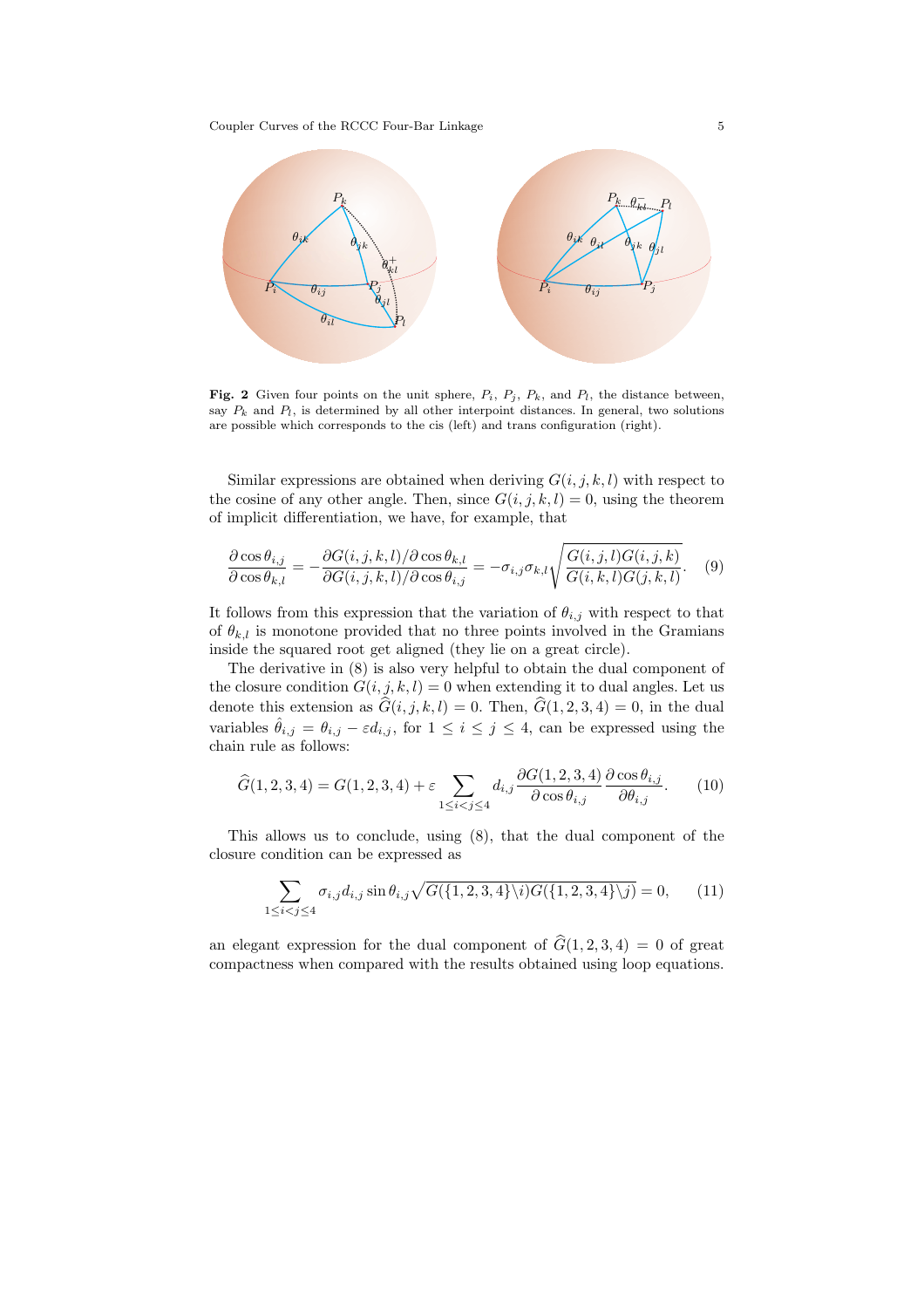Coupler Curves of the RCCC Four-Bar Linkage 5



**Fig. 2** Given four points on the unit sphere,  $P_i$ ,  $P_j$ ,  $P_k$ , and  $P_l$ , the distance between, say  $P_k$  and  $P_l$ , is determined by all other interpoint distances. In general, two solutions are possible which corresponds to the cis (left) and trans configuration (right).

Similar expressions are obtained when deriving  $G(i, j, k, l)$  with respect to the cosine of any other angle. Then, since  $G(i, j, k, l) = 0$ , using the theorem of implicit differentiation, we have, for example, that

$$
\frac{\partial \cos \theta_{i,j}}{\partial \cos \theta_{k,l}} = -\frac{\partial G(i,j,k,l)/\partial \cos \theta_{k,l}}{\partial G(i,j,k,l)/\partial \cos \theta_{i,j}} = -\sigma_{i,j}\sigma_{k,l}\sqrt{\frac{G(i,j,l)G(i,j,k)}{G(i,k,l)G(j,k,l)}}.
$$
(9)

It follows from this expression that the variation of  $\theta_{i,j}$  with respect to that of  $\theta_{k,l}$  is monotone provided that no three points involved in the Gramians inside the squared root get aligned (they lie on a great circle).

The derivative in (8) is also very helpful to obtain the dual component of the closure condition  $G(i, j, k, l) = 0$  when extending it to dual angles. Let us denote this extension as  $\widehat{G}(i, j, k, l) = 0$ . Then,  $\widehat{G}(1, 2, 3, 4) = 0$ , in the dual variables  $\hat{\theta}_{i,j} = \theta_{i,j} - \varepsilon d_{i,j}$ , for  $1 \leq i \leq j \leq 4$ , can be expressed using the chain rule as follows:

$$
\widehat{G}(1,2,3,4) = G(1,2,3,4) + \varepsilon \sum_{1 \le i < j \le 4} d_{i,j} \frac{\partial G(1,2,3,4)}{\partial \cos \theta_{i,j}} \frac{\partial \cos \theta_{i,j}}{\partial \theta_{i,j}}. \tag{10}
$$

This allows us to conclude, using (8), that the dual component of the closure condition can be expressed as

$$
\sum_{1 \le i < j \le 4} \sigma_{i,j} d_{i,j} \sin \theta_{i,j} \sqrt{G(\{1, 2, 3, 4\} \setminus i) G(\{1, 2, 3, 4\} \setminus j)} = 0,\qquad(11)
$$

an elegant expression for the dual component of  $\hat{G}(1, 2, 3, 4) = 0$  of great compactness when compared with the results obtained using loop equations.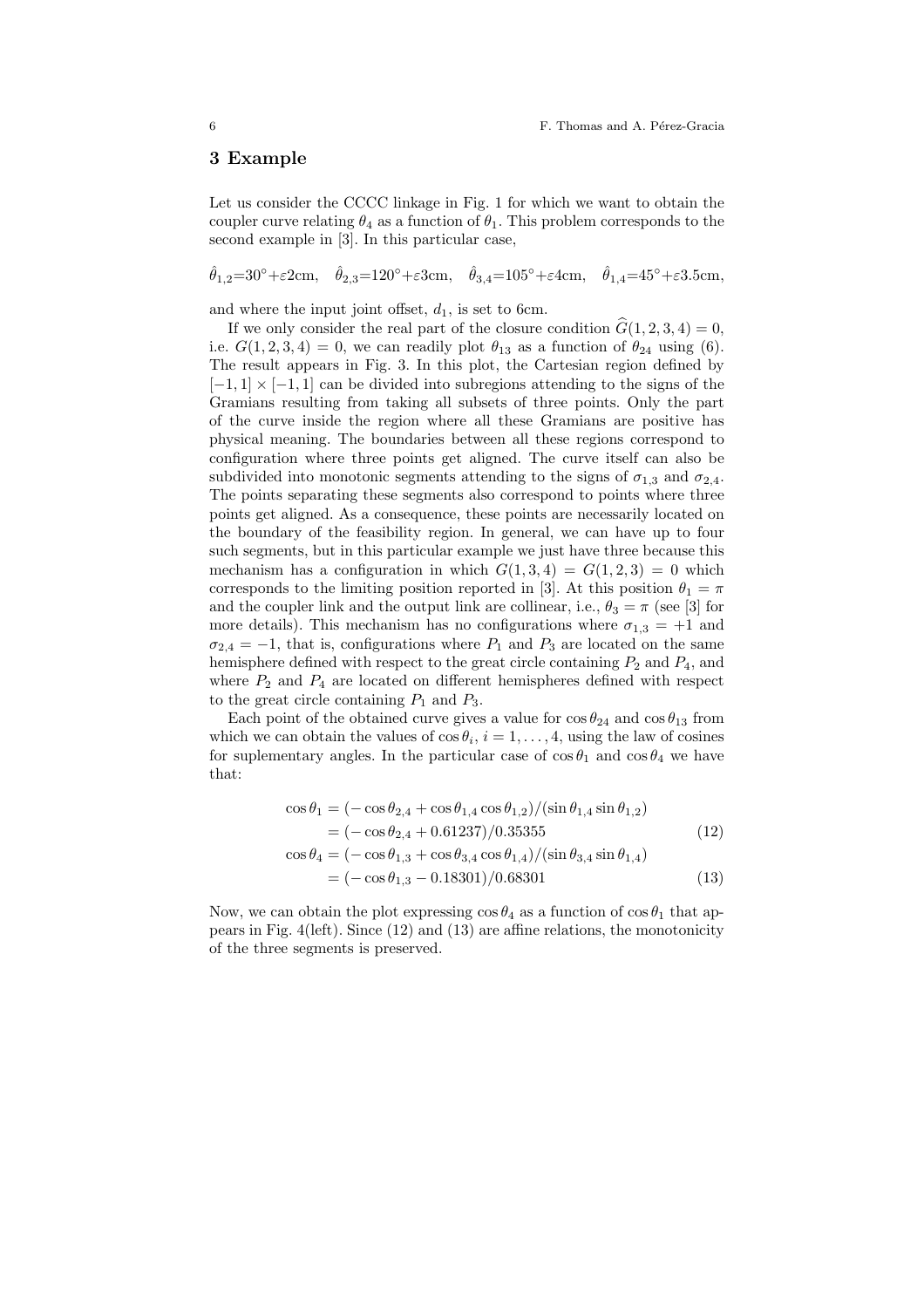### 3 Example

Let us consider the CCCC linkage in Fig. 1 for which we want to obtain the coupler curve relating  $\theta_4$  as a function of  $\theta_1$ . This problem corresponds to the second example in [3]. In this particular case,

 $\hat{\theta}_{1,2} = 30^{\circ} + \varepsilon 2 \text{cm}, \quad \hat{\theta}_{2,3} = 120^{\circ} + \varepsilon 3 \text{cm}, \quad \hat{\theta}_{3,4} = 105^{\circ} + \varepsilon 4 \text{cm}, \quad \hat{\theta}_{1,4} = 45^{\circ} + \varepsilon 3.5 \text{cm},$ 

and where the input joint offset,  $d_1$ , is set to 6cm.

If we only consider the real part of the closure condition  $\hat{G}(1, 2, 3, 4) = 0$ , i.e.  $G(1, 2, 3, 4) = 0$ , we can readily plot  $\theta_{13}$  as a function of  $\theta_{24}$  using (6). The result appears in Fig. 3. In this plot, the Cartesian region defined by  $[-1, 1] \times [-1, 1]$  can be divided into subregions attending to the signs of the Gramians resulting from taking all subsets of three points. Only the part of the curve inside the region where all these Gramians are positive has physical meaning. The boundaries between all these regions correspond to configuration where three points get aligned. The curve itself can also be subdivided into monotonic segments attending to the signs of  $\sigma_{1,3}$  and  $\sigma_{2,4}$ . The points separating these segments also correspond to points where three points get aligned. As a consequence, these points are necessarily located on the boundary of the feasibility region. In general, we can have up to four such segments, but in this particular example we just have three because this mechanism has a configuration in which  $G(1,3,4) = G(1,2,3) = 0$  which corresponds to the limiting position reported in [3]. At this position  $\theta_1 = \pi$ and the coupler link and the output link are collinear, i.e.,  $\theta_3 = \pi$  (see [3] for more details). This mechanism has no configurations where  $\sigma_{1,3} = +1$  and  $\sigma_{2,4} = -1$ , that is, configurations where  $P_1$  and  $P_3$  are located on the same hemisphere defined with respect to the great circle containing  $P_2$  and  $P_4$ , and where  $P_2$  and  $P_4$  are located on different hemispheres defined with respect to the great circle containing  $P_1$  and  $P_3$ .

Each point of the obtained curve gives a value for  $\cos \theta_{24}$  and  $\cos \theta_{13}$  from which we can obtain the values of  $\cos \theta_i$ ,  $i = 1, \ldots, 4$ , using the law of cosines for suplementary angles. In the particular case of  $\cos \theta_1$  and  $\cos \theta_4$  we have that:

$$
\cos \theta_1 = (-\cos \theta_{2,4} + \cos \theta_{1,4} \cos \theta_{1,2}) / (\sin \theta_{1,4} \sin \theta_{1,2})
$$
  
= (-\cos \theta\_{2,4} + 0.61237)/0.35355 (12)  

$$
\cos \theta_4 = (-\cos \theta_{1,3} + \cos \theta_{3,4} \cos \theta_{1,4}) / (\sin \theta_{3,4} \sin \theta_{1,4})
$$
  
= (-\cos \theta\_{1,3} - 0.18301)/0.68301 (13)

Now, we can obtain the plot expressing  $\cos \theta_4$  as a function of  $\cos \theta_1$  that appears in Fig. 4(left). Since (12) and (13) are affine relations, the monotonicity of the three segments is preserved.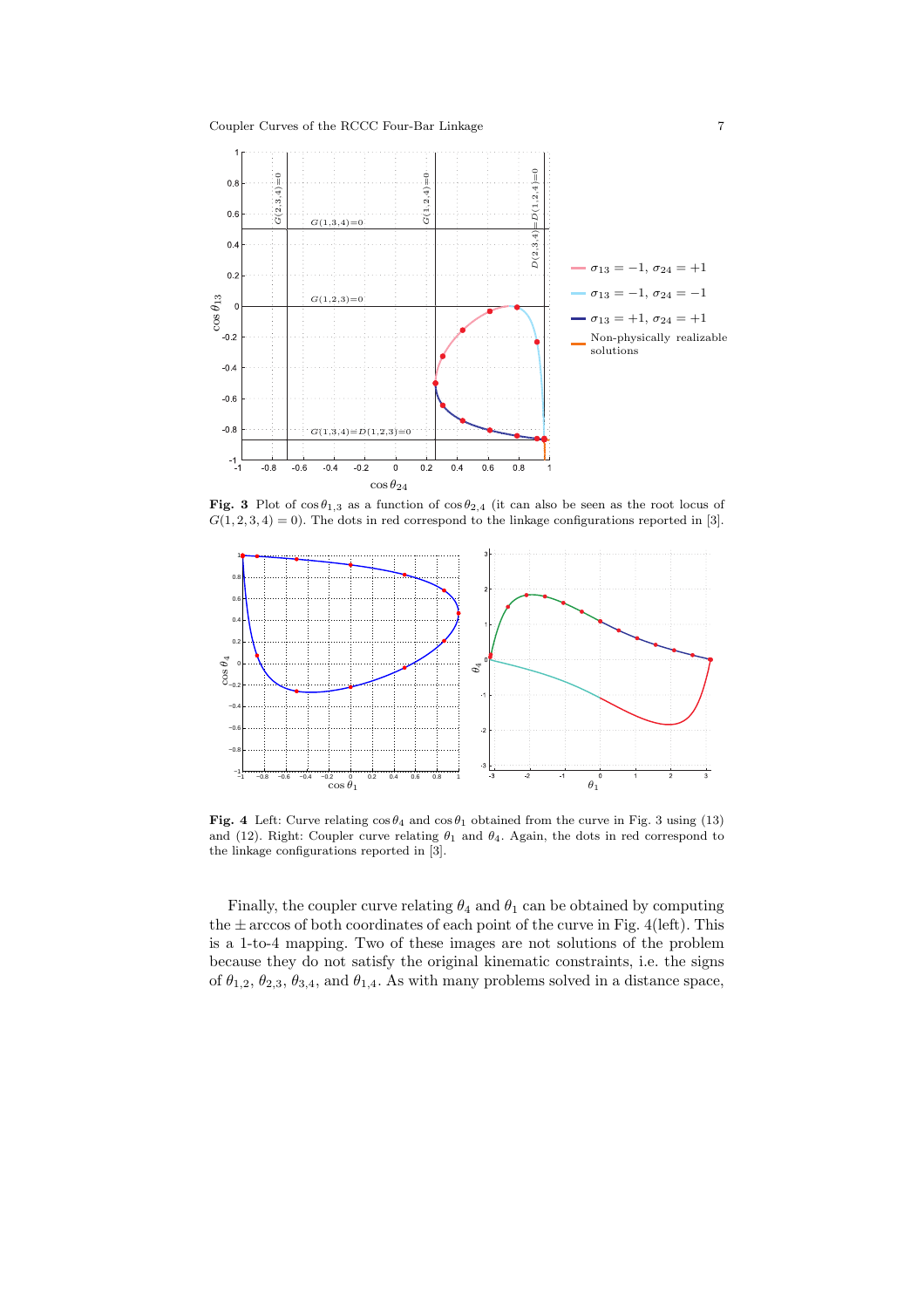

Fig. 3 Plot of  $\cos \theta_{1,3}$  as a function of  $\cos \theta_{2,4}$  (it can also be seen as the root locus of  $G(1, 2, 3, 4) = 0$ ). The dots in red correspond to the linkage configurations reported in [3].



Fig. 4 Left: Curve relating  $\cos \theta_4$  and  $\cos \theta_1$  obtained from the curve in Fig. 3 using (13) and (12). Right: Coupler curve relating  $\theta_1$  and  $\theta_4$ . Again, the dots in red correspond to the linkage configurations reported in [3].

Finally, the coupler curve relating  $\theta_4$  and  $\theta_1$  can be obtained by computing the  $\pm$  arccos of both coordinates of each point of the curve in Fig. 4(left). This is a 1-to-4 mapping. Two of these images are not solutions of the problem because they do not satisfy the original kinematic constraints, i.e. the signs of  $\theta_{1,2}, \theta_{2,3}, \theta_{3,4}$ , and  $\theta_{1,4}$ . As with many problems solved in a distance space,